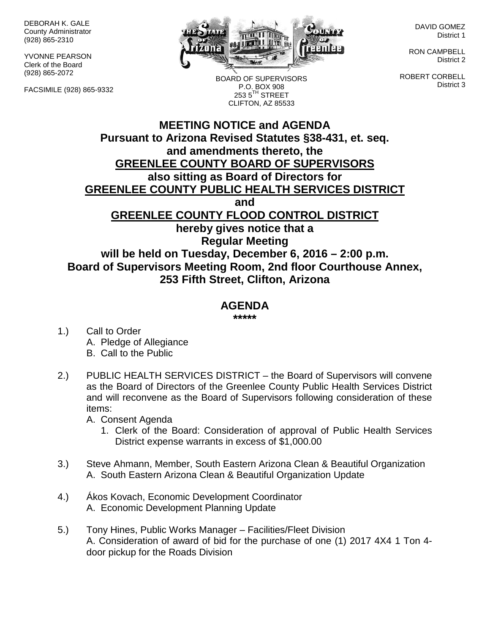DEBORAH K. GALE County Administrator (928) 865-2310

YVONNE PEARSON Clerk of the Board (928) 865-2072

FACSIMILE (928) 865-9332



BOARD OF SUPERVISORS P.O. BOX 908  $2535^{\text{TH}}$  STREET

DAVID GOMEZ District 1

RON CAMPBELL District 2

ROBERT CORBELL District 3

## **MEETING NOTICE and AGENDA Pursuant to Arizona Revised Statutes §38-431, et. seq. and amendments thereto, the GREENLEE COUNTY BOARD OF SUPERVISORS also sitting as Board of Directors for GREENLEE COUNTY PUBLIC HEALTH SERVICES DISTRICT and GREENLEE COUNTY FLOOD CONTROL DISTRICT hereby gives notice that a Regular Meeting will be held on Tuesday, December 6, 2016 – 2:00 p.m.** CLIFTON, AZ 85533

**Board of Supervisors Meeting Room, 2nd floor Courthouse Annex, 253 Fifth Street, Clifton, Arizona**

## **AGENDA**

**\*\*\*\*\***

- 1.) Call to Order A. Pledge of Allegiance B. Call to the Public
- 2.) PUBLIC HEALTH SERVICES DISTRICT the Board of Supervisors will convene as the Board of Directors of the Greenlee County Public Health Services District and will reconvene as the Board of Supervisors following consideration of these items:

A. Consent Agenda

- 1. Clerk of the Board: Consideration of approval of Public Health Services District expense warrants in excess of \$1,000.00
- 3.) Steve Ahmann, Member, South Eastern Arizona Clean & Beautiful Organization A. South Eastern Arizona Clean & Beautiful Organization Update
- 4.) Ákos Kovach, Economic Development Coordinator A. Economic Development Planning Update
- 5.) Tony Hines, Public Works Manager Facilities/Fleet Division A. Consideration of award of bid for the purchase of one (1) 2017 4X4 1 Ton 4 door pickup for the Roads Division